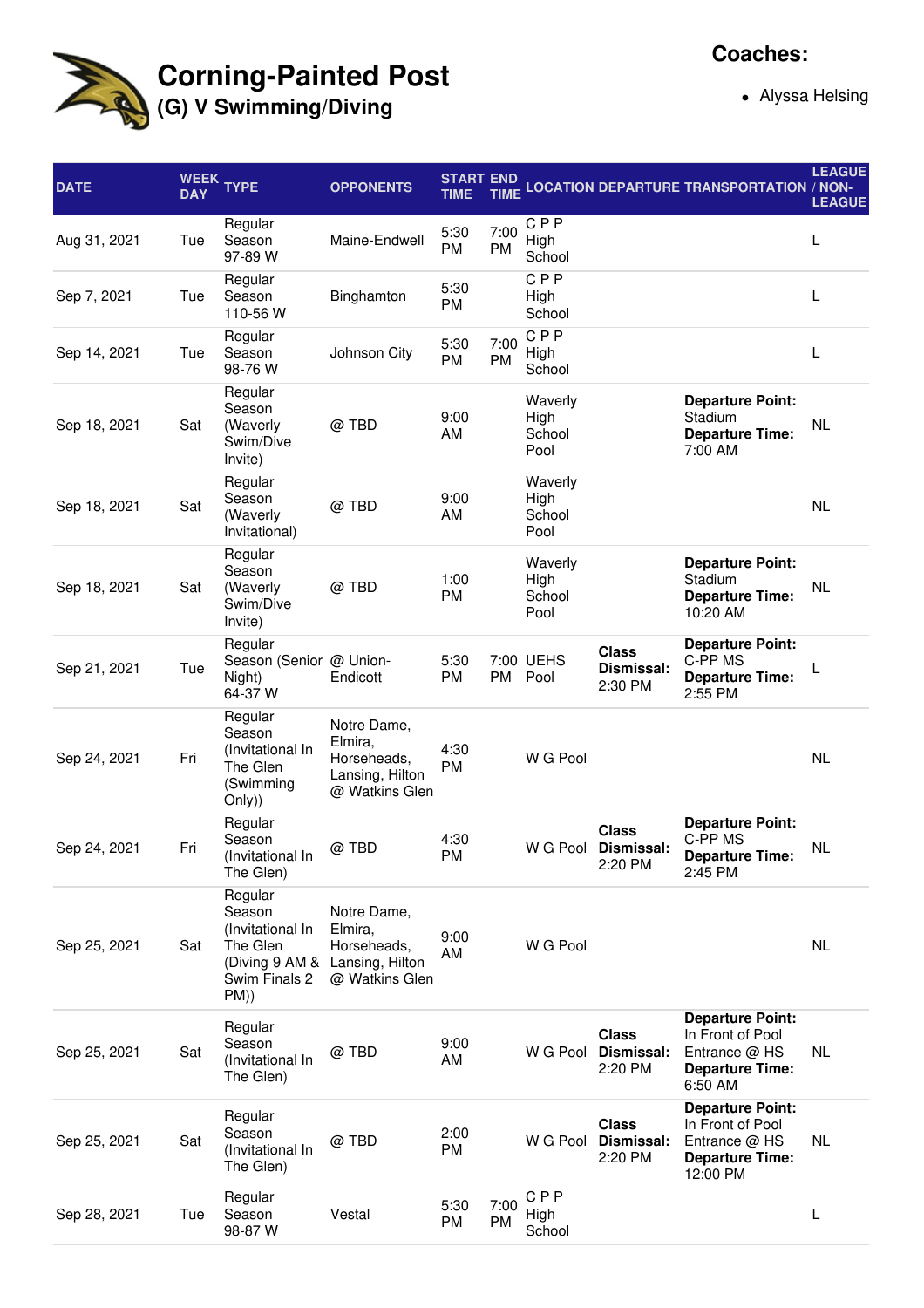

## **Corning-Painted Post (G) V Swimming/Diving**

Alyssa Helsing

| <b>DATE</b>  | <b>WEEK</b><br><b>DAY</b> | <b>TYPE</b>                                                                                 | <b>OPPONENTS</b>                                                           | <b>START END</b><br><b>TIME</b> | <b>TIME</b>       |                                   |                                                | <b>LOCATION DEPARTURE TRANSPORTATION / NON-</b>                                                    | <b>LEAGUE</b><br><b>LEAGUE</b> |
|--------------|---------------------------|---------------------------------------------------------------------------------------------|----------------------------------------------------------------------------|---------------------------------|-------------------|-----------------------------------|------------------------------------------------|----------------------------------------------------------------------------------------------------|--------------------------------|
| Aug 31, 2021 | Tue                       | Regular<br>Season<br>97-89 W                                                                | Maine-Endwell                                                              | 5:30<br><b>PM</b>               | 7:00<br><b>PM</b> | CPP<br>High<br>School             |                                                |                                                                                                    | L                              |
| Sep 7, 2021  | Tue                       | Regular<br>Season<br>110-56 W                                                               | Binghamton                                                                 | 5:30<br>PM                      |                   | <b>CPP</b><br>High<br>School      |                                                |                                                                                                    | L                              |
| Sep 14, 2021 | Tue                       | Regular<br>Season<br>98-76 W                                                                | Johnson City                                                               | 5:30<br>PM                      | 7:00<br><b>PM</b> | <b>CPP</b><br>High<br>School      |                                                |                                                                                                    | L                              |
| Sep 18, 2021 | Sat                       | Regular<br>Season<br>(Waverly<br>Swim/Dive<br>Invite)                                       | @TBD                                                                       | 9:00<br>AM                      |                   | Waverly<br>High<br>School<br>Pool |                                                | <b>Departure Point:</b><br>Stadium<br><b>Departure Time:</b><br>7:00 AM                            | NL                             |
| Sep 18, 2021 | Sat                       | Regular<br>Season<br>(Waverly<br>Invitational)                                              | @TBD                                                                       | 9:00<br>AM                      |                   | Waverly<br>High<br>School<br>Pool |                                                |                                                                                                    | <b>NL</b>                      |
| Sep 18, 2021 | Sat                       | Regular<br>Season<br>(Waverly<br>Swim/Dive<br>Invite)                                       | @TBD                                                                       | 1:00<br>PM                      |                   | Waverly<br>High<br>School<br>Pool |                                                | <b>Departure Point:</b><br>Stadium<br><b>Departure Time:</b><br>10:20 AM                           | <b>NL</b>                      |
| Sep 21, 2021 | Tue                       | Regular<br>Season (Senior @ Union-<br>Night)<br>64-37 W                                     | Endicott                                                                   | 5:30<br><b>PM</b>               | <b>PM</b>         | 7:00 UEHS<br>Pool                 | <b>Class</b><br>Dismissal:<br>2:30 PM          | <b>Departure Point:</b><br>C-PP MS<br><b>Departure Time:</b><br>2:55 PM                            | L                              |
| Sep 24, 2021 | Fri                       | Regular<br>Season<br>(Invitational In<br>The Glen<br>(Swimming<br>Only))                    | Notre Dame,<br>Elmira,<br>Horseheads,<br>Lansing, Hilton<br>@ Watkins Glen | 4:30<br><b>PM</b>               |                   | W G Pool                          |                                                |                                                                                                    | NL                             |
| Sep 24, 2021 | Fri                       | Regular<br>Season<br>(Invitational In<br>The Glen)                                          | $@$ TBD                                                                    | 4:30<br>PM                      |                   |                                   | <b>Class</b><br>W G Pool Dismissal:<br>2:20 PM | <b>Departure Point:</b><br>C-PP MS<br><b>Departure Time:</b><br>2:45 PM                            | <b>NL</b>                      |
| Sep 25, 2021 | Sat                       | Regular<br>Season<br>(Invitational In<br>The Glen<br>(Diving 9 AM &<br>Swim Finals 2<br>PM) | Notre Dame,<br>Elmira,<br>Horseheads,<br>Lansing, Hilton<br>@ Watkins Glen | 9:00<br>AM                      |                   | W G Pool                          |                                                |                                                                                                    | NL                             |
| Sep 25, 2021 | Sat                       | Regular<br>Season<br>(Invitational In<br>The Glen)                                          | @TBD                                                                       | 9:00<br>AM                      |                   | W G Pool                          | <b>Class</b><br>Dismissal:<br>2:20 PM          | <b>Departure Point:</b><br>In Front of Pool<br>Entrance @ HS<br><b>Departure Time:</b><br>6:50 AM  | NL                             |
| Sep 25, 2021 | Sat                       | Regular<br>Season<br>(Invitational In<br>The Glen)                                          | @TBD                                                                       | 2:00<br>PM                      |                   |                                   | <b>Class</b><br>W G Pool Dismissal:<br>2:20 PM | <b>Departure Point:</b><br>In Front of Pool<br>Entrance @ HS<br><b>Departure Time:</b><br>12:00 PM | NL                             |
| Sep 28, 2021 | Tue                       | Regular<br>Season<br>98-87 W                                                                | Vestal                                                                     | 5:30<br><b>PM</b>               | 7:00<br><b>PM</b> | <b>CPP</b><br>High<br>School      |                                                |                                                                                                    | L                              |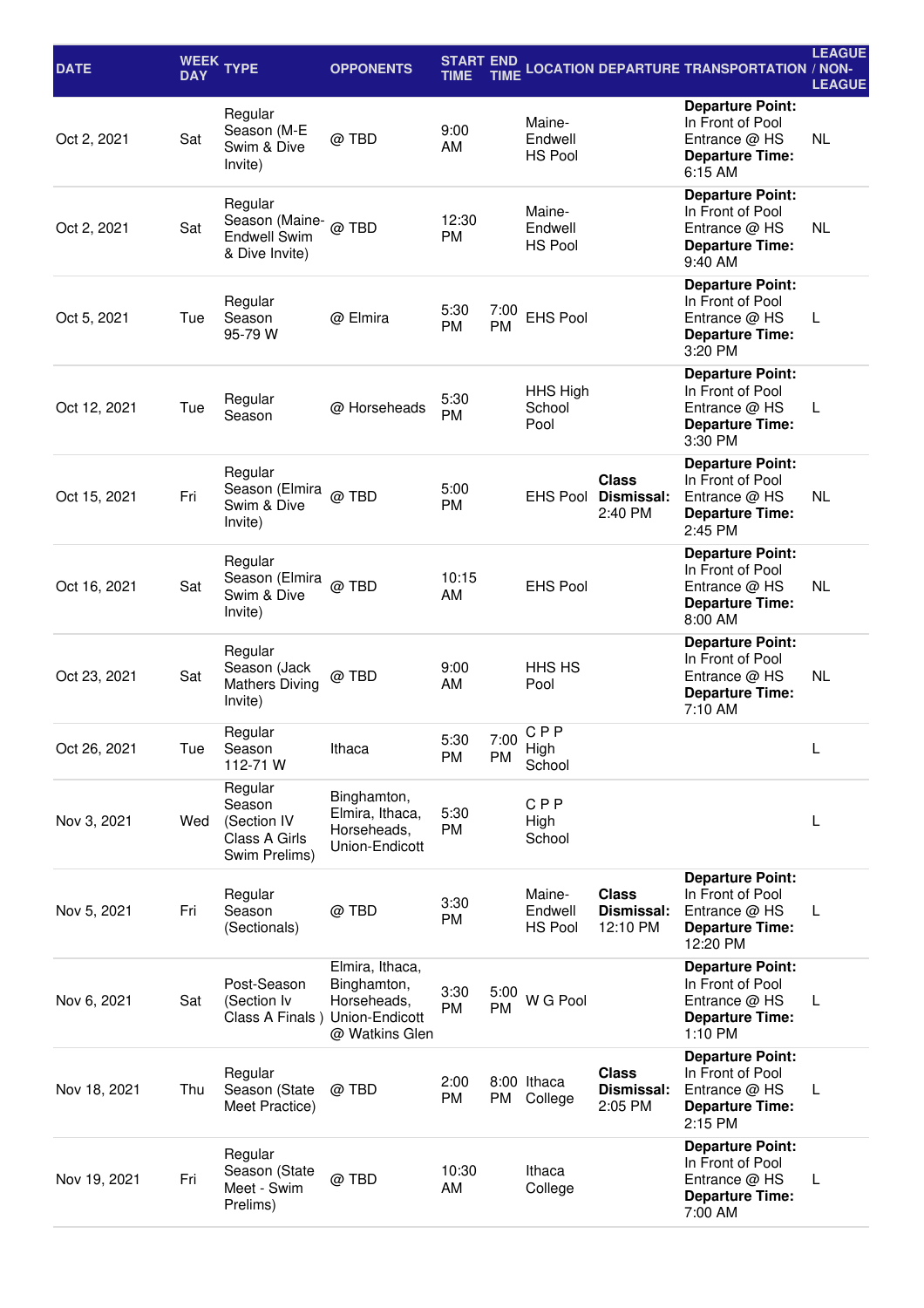| <b>DATE</b>  | <b>DAY</b> | WEEK TYPE                                                                | <b>OPPONENTS</b>                                                                  | <b>START END</b><br>TIME | TIME              |                                     |                                        | <b>LOCATION DEPARTURE TRANSPORTATION / NON-</b>                                                     | <b>LEAGUE</b><br><b>LEAGUE</b> |
|--------------|------------|--------------------------------------------------------------------------|-----------------------------------------------------------------------------------|--------------------------|-------------------|-------------------------------------|----------------------------------------|-----------------------------------------------------------------------------------------------------|--------------------------------|
| Oct 2, 2021  | Sat        | Regular<br>Season (M-E<br>Swim & Dive<br>Invite)                         | @TBD                                                                              | 9:00<br>AM               |                   | Maine-<br>Endwell<br><b>HS Pool</b> |                                        | <b>Departure Point:</b><br>In Front of Pool<br>Entrance @ HS<br><b>Departure Time:</b><br>6:15 AM   | <b>NL</b>                      |
| Oct 2, 2021  | Sat        | Regular<br>Season (Maine- @ TBD<br><b>Endwell Swim</b><br>& Dive Invite) |                                                                                   | 12:30<br><b>PM</b>       |                   | Maine-<br>Endwell<br><b>HS Pool</b> |                                        | <b>Departure Point:</b><br>In Front of Pool<br>Entrance @ HS<br><b>Departure Time:</b><br>9:40 AM   | <b>NL</b>                      |
| Oct 5, 2021  | Tue        | Regular<br>Season<br>95-79 W                                             | @ Elmira                                                                          | 5:30<br><b>PM</b>        | 7:00<br><b>PM</b> | <b>EHS Pool</b>                     |                                        | <b>Departure Point:</b><br>In Front of Pool<br>Entrance @ HS<br><b>Departure Time:</b><br>3:20 PM   | L                              |
| Oct 12, 2021 | Tue        | Regular<br>Season                                                        | @ Horseheads                                                                      | 5:30<br><b>PM</b>        |                   | HHS High<br>School<br>Pool          |                                        | <b>Departure Point:</b><br>In Front of Pool<br>Entrance @ HS<br><b>Departure Time:</b><br>3:30 PM   | L                              |
| Oct 15, 2021 | Fri        | Regular<br>Season (Elmira<br>Swim & Dive<br>Invite)                      | @TBD                                                                              | 5:00<br><b>PM</b>        |                   | <b>EHS Pool</b>                     | <b>Class</b><br>Dismissal:<br>2:40 PM  | <b>Departure Point:</b><br>In Front of Pool<br>Entrance $@$ HS<br><b>Departure Time:</b><br>2:45 PM | <b>NL</b>                      |
| Oct 16, 2021 | Sat        | Regular<br>Season (Elmira<br>Swim & Dive<br>Invite)                      | @TBD                                                                              | 10:15<br>AM              |                   | <b>EHS Pool</b>                     |                                        | <b>Departure Point:</b><br>In Front of Pool<br>Entrance @ HS<br><b>Departure Time:</b><br>8:00 AM   | <b>NL</b>                      |
| Oct 23, 2021 | Sat        | Regular<br>Season (Jack<br><b>Mathers Diving</b><br>Invite)              | @TBD                                                                              | 9:00<br>AM               |                   | HHS HS<br>Pool                      |                                        | <b>Departure Point:</b><br>In Front of Pool<br>Entrance $@$ HS<br><b>Departure Time:</b><br>7:10 AM | <b>NL</b>                      |
| Oct 26, 2021 | Tue        | Regular<br>Season<br>112-71 W                                            | Ithaca                                                                            | 5:30<br>PM               | 7:00<br>PM        | <b>CPP</b><br>High<br>School        |                                        |                                                                                                     | L                              |
| Nov 3, 2021  | Wed        | Regular<br>Season<br>(Section IV<br>Class A Girls<br>Swim Prelims)       | Binghamton,<br>Elmira, Ithaca,<br>Horseheads,<br>Union-Endicott                   | 5:30<br>PM               |                   | <b>CPP</b><br>High<br>School        |                                        |                                                                                                     | L                              |
| Nov 5, 2021  | Fri        | Regular<br>Season<br>(Sectionals)                                        | @ TBD                                                                             | 3:30<br>PM               |                   | Maine-<br>Endwell<br><b>HS Pool</b> | <b>Class</b><br>Dismissal:<br>12:10 PM | <b>Departure Point:</b><br>In Front of Pool<br>Entrance @ HS<br><b>Departure Time:</b><br>12:20 PM  | L                              |
| Nov 6, 2021  | Sat        | Post-Season<br>(Section Iv<br>Class A Finals)                            | Elmira, Ithaca,<br>Binghamton,<br>Horseheads,<br>Union-Endicott<br>@ Watkins Glen | 3:30<br><b>PM</b>        | 5:00<br><b>PM</b> | W G Pool                            |                                        | <b>Departure Point:</b><br>In Front of Pool<br>Entrance @ HS<br><b>Departure Time:</b><br>1:10 PM   | L                              |
| Nov 18, 2021 | Thu        | Regular<br>Season (State<br>Meet Practice)                               | @TBD                                                                              | 2:00<br>PM               | PM                | 8:00 Ithaca<br>College              | <b>Class</b><br>Dismissal:<br>2:05 PM  | <b>Departure Point:</b><br>In Front of Pool<br>Entrance @ HS<br><b>Departure Time:</b><br>2:15 PM   | L                              |
| Nov 19, 2021 | Fri        | Regular<br>Season (State<br>Meet - Swim<br>Prelims)                      | @ TBD                                                                             | 10:30<br>AM              |                   | Ithaca<br>College                   |                                        | <b>Departure Point:</b><br>In Front of Pool<br>Entrance @ HS<br><b>Departure Time:</b><br>7:00 AM   | L                              |